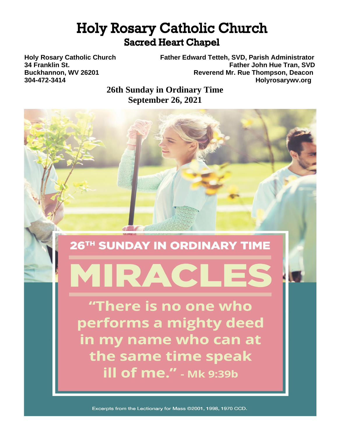# **Holy Rosary Catholic Church Sacred Heart Chapel**

**Holy Rosary Catholic Church Father Edward Tetteh, SVD, Parish Administrator 34 Franklin St. Father John Hue Tran, SVD Buckhannon, WV 26201 Reverend Mr. Rue Thompson, Deacon 304-472-3414 Holyrosarywv.org**

> **26th Sunday in Ordinary Time September 26, 2021**

# **26TH SUNDAY IN ORDINARY TIME**

# MIRACLES

"There is no one who performs a mighty deed in my name who can at the same time speak **ill of me."** - Mk 9:39b

Excerpts from the Lectionary for Mass @2001, 1998, 1970 CCD.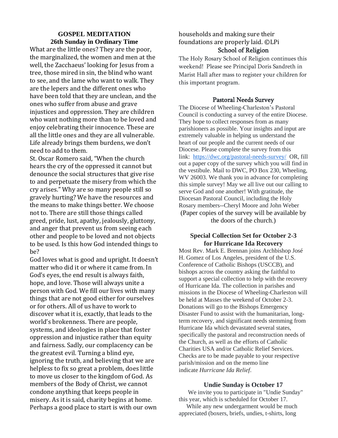### **GOSPEL MEDITATION 26th Sunday in Ordinary Time**

What are the little ones? They are the poor, the marginalized, the women and men at the well, the Zacchaeus' looking for Jesus from a tree, those mired in sin, the blind who want to see, and the lame who want to walk. They are the lepers and the different ones who have been told that they are unclean, and the ones who suffer from abuse and grave injustices and oppression. They are children who want nothing more than to be loved and enjoy celebrating their innocence. These are all the little ones and they are all vulnerable. Life already brings them burdens, we don't need to add to them.

St. Oscar Romero said, "When the church hears the cry of the oppressed it cannot but denounce the social structures that give rise to and perpetuate the misery from which the cry arises." Why are so many people still so gravely hurting? We have the resources and the means to make things better. We choose not to. There are still those things called greed, pride, lust, apathy, jealously, gluttony, and anger that prevent us from seeing each other and people to be loved and not objects to be used. Is this how God intended things to be?

God loves what is good and upright. It doesn't matter who did it or where it came from. In God's eyes, the end result is always faith, hope, and love. Those will always unite a person with God. We fill our lives with many things that are not good either for ourselves or for others. All of us have to work to discover what it is, exactly, that leads to the world's brokenness. There are people, systems, and ideologies in place that foster oppression and injustice rather than equity and fairness. Sadly, our complacency can be the greatest evil. Turning a blind eye, ignoring the truth, and believing that we are helpless to fix so great a problem, does little to move us closer to the kingdom of God. As members of the Body of Christ, we cannot condone anything that keeps people in misery. As it is said, charity begins at home. Perhaps a good place to start is with our own

#### households and making sure their foundations are properly laid. ©LPi School of Religion

The Holy Rosary School of Religion continues this weekend! Please see Principal Doris Sandreth in Marist Hall after mass to register your children for this important program.

#### Pastoral Needs Survey

The Diocese of Wheeling-Charleston's Pastoral Council is conducting a survey of the entire Diocese. They hope to collect responses from as many parishioners as possible. Your insights and input are extremely valuable in helping us understand the heart of our people and the current needs of our Diocese. Please complete the survey from this link: <https://dwc.org/pastoral-needs-survey/> OR, fill out a paper copy of the survey which you will find in the vestibule. Mail to DWC, PO Box 230, Wheeling, WV 26003. We thank you in advance for completing this simple survey! May we all live out our calling to serve God and one another! With gratitude, the Diocesan Pastoral Council, including the Holy Rosary members--Cheryl Moore and John Weber (Paper copies of the survey will be available by the doors of the church.)

#### **Special Collection Set for October 2-3 for Hurricane Ida Recovery**

Most Rev. Mark E. Brennan joins Archbishop José H. Gomez of Los Angeles, president of the U.S. Conference of Catholic Bishops (USCCB), and bishops across the country asking the faithful to support a special collection to help with the recovery of Hurricane Ida. The collection in parishes and missions in the Diocese of Wheeling-Charleston will be held at Masses the weekend of October 2-3. Donations will go to the Bishops Emergency Disaster Fund to assist with the humanitarian, longterm recovery, and significant needs stemming from Hurricane Ida which devastated several states, specifically the pastoral and reconstruction needs of the Church, as well as the efforts of Catholic Charities USA and/or Catholic Relief Services. Checks are to be made payable to your respective parish/mission and on the memo line indicate *Hurricane Ida Relief*.

#### **Undie Sunday is October 17**

 We invite you to participate in "Undie Sunday" this year, which is scheduled for October 17.

 While any new undergarment would be much appreciated (boxers, briefs, undies, t-shirts, long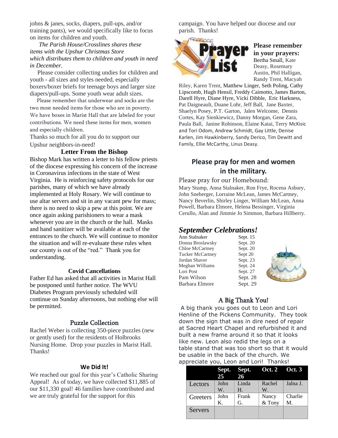johns & janes, socks, diapers, pull-ups, and/or training pants), we would specifically like to focus on items for children and youth.

 *The Parish House/Crosslines shares these items with the Upshur Christmas Store which distributes them to children and youth in need in December.* 

 Please consider collecting undies for children and youth - all sizes and styles needed, especially boxers/boxer briefs for teenage boys and larger size diapers/pull-ups. Some youth wear adult sizes.

 Please remember that underwear and socks are the two most needed items for those who are in poverty. We have boxes in Marist Hall that are labeled for your contributions. We need these items for men, women and especially children.

Thanks so much for all you do to support our Upshur neighbors-in-need!

#### **Letter From the Bishop**

Bishop Mark has written a letter to his fellow priests of the diocese expressing his concern of the increase in Coronavirus infections in the state of West Virginia. He is reinforcing safety protocols for our parishes, many of which we have already implemented at Holy Rosary. We will continue to use altar servers and sit in any vacant pew for mass; there is no need to skip a pew at this point. We are once again asking parishioners to wear a mask whenever you are in the church or the hall. Masks and hand sanitizer will be available at each of the entrances to the church. We will continue to monitor the situation and will re-evaluate these rules when our county is out of the "red." Thank you for understanding.

#### **Covid Cancellations**

Father Ed has asked that all activities in Marist Hall be postponed until further notice. The WVU Diabetes Program previously scheduled will continue on Sunday afternoons, but nothing else will be permitted.

#### Puzzle Collection

Rachel Weber is collecting 350-piece puzzles (new or gently used) for the residents of Holbrooks Nursing Home. Drop your puzzles in Marist Hall. Thanks!

#### **We Did It!**

We reached our goal for this year's Catholic Sharing Appeal! As of today, we have collected \$11,885 of our \$11,330 goal! 46 families have contributed and we are truly grateful for the support for this

campaign. You have helped our diocese and our parish. Thanks!



#### **Please remember in your prayers:** Bertha Small, Kate Deasy, Rosemary Austin, Phil Halligan, Randy Trent, Macyah

Riley, Karen Trent, Matthew Linger, Seth Poling, Cathy Lipscomb, Hugh Hensil, Freddy Caimotto, James Barton, Darell Hyre, Diane Hyre, Vicki Dibble, Eric Harkness, Pat Daigneault, Duane Lohr, Jeff Ball, Jane Baxter, Shaelyn Posey, P.T. Garton, Jalen Welcome, Dennis Cortes, Kay Sienkiewicz, Danny Morgan, Gene Zara, Paula Ball, Janine Robinson, Elaine Katai, Terry McKisic and Tori Odom, Andrew Schmidt, Gay Little, Denise Karlen, Jim Hawkinberry, Sandy Derico, Tim Dewitt and Family, Ellie McCarthy, Linus Deasy.

## **Please pray for men and women in the military.**

#### Please pray for our Homebound:

Mary Stump, Anna Stalnaker, Ron Frye, Rocena Asbury, John Sneberger, Lorraine McLean, James McCartney, Nancy Beverlin, Shirley Linger, William McLean, Anna Powell, Barbara Elmore, Helena Bessinger, Virginia Cerullo, Alan and Jimmie Jo Simmon, Barbara Hillberry.

#### *September Celebrations!*

| Ann Stalnaker           | Sept. 15 |  |
|-------------------------|----------|--|
| Donna Broslawsky        | Sept. 20 |  |
| <b>Chloe McCartney</b>  | Sept. 20 |  |
| <b>Tucker McCartney</b> | Sept 20  |  |
| Jordan Shaver           | Sept. 23 |  |
| Meghan Williams         | Sept. 24 |  |
| Lori Post               | Sept. 27 |  |
| Pam Wilson              | Sept. 28 |  |
| Barbara Elmore          | Sept. 29 |  |
|                         |          |  |

#### A Big Thank You!

A big thank you goes out to Leon and Lori Henline of the Pickens Community. They took down the sign that was in dire need of repair at Sacred Heart Chapel and refurbished it and built a new frame around it so that it looks like new. Leon also redid the legs on a table stand that was too short so that it would be usable in the back of the church. We appreciate you, Leon and Lori! Thanks!

|                | Sept. Sept.<br>25 | 26    | Oct. 2 Oct. 3 |          |
|----------------|-------------------|-------|---------------|----------|
| Lectors        | John              | Linda | Rachel        | Jalna J. |
|                | W.                | Η.    | W.            |          |
| Greeters       | John              | Frank | Nancy         | Charlie  |
|                | Κ.                | G.    | & Tony        | M.       |
| <b>Servers</b> |                   |       |               |          |